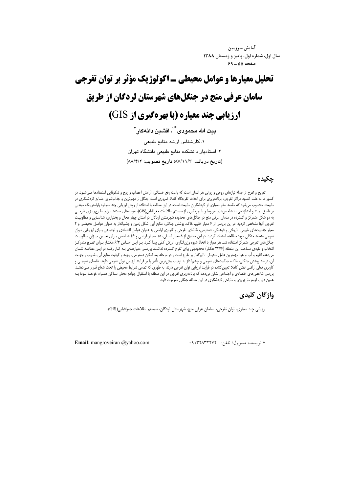آمايش سرزمين سال اول، شماره اول، پاییز و زمستان ۱۳۸۸ صفحه ۵۵ ـ ۶۹

# تحلیل معیارها و عوامل محیطی ـ اکولوژیک مؤثر بر توان تفرجی سامان عرفی منج در جنگلهای شهرستان لردگان از طریق **ارزیابی چند معیاره (یا بهرهگیری از GIS)**

بيت الله محمودي<sup>\*'</sup>، افشين دانهڪار <sup>٢</sup> ١. كارشناس ارشد منابع طبيعى ۲. استادیار دانشکده منابع طبیعی دانشگاه تهران (تاريخ دريافت: ٨٧/١١/٣؛ تاريخ تصويب: ٨٨/٤/٢)

#### حكىدە

تفریح و تفرج از جمله نیازهای روحی و روانی هر انسان است که باعث رفع خستگی، آرامش اعصاب و روح و شکوفایی استعدادها مـیشـود. در کشور ما به علت کمبود مراکز تفرجی، برنامهریزی برای احداث تفرجگاه کاملا ضروری است. جنگل از مهمترین و جذابترین منـابع گردشـگری در طبیعت محسوب میشود که مقصد سفر بسیاری از گردشگران طبیعت است. در این مطالعه با استفاده از روش ارزیابی چند معیاره پارامتریـک مبتنـی بر تلفیق بهینه و امتیازدهی به شاخصهای مربوط و با بهرهگیری از سیستم اطلاعات جغرافیایی(GIS)، عرصههای مستعد بـرای طـرحریــزی تفرجـی به دو شکل متمرکز و گسترده در سامان عرفی منج در جنگلهای محدوده شهرستان لردگان در استان چهار محال و بختیاری، شناسـایی و مطلوبیـت تفرجی آنها مشخص گردید. در این بررسی از ۶ معیار اقلیم، خاک، پوشش جنگلی، منابع آبی، شکل زمین و چشمانداز به عنوان عوامل محیطی و ۴ .<br>معیار جذابیتهای طبیعی، تاریخی و فرهنگی، دسترسی، تقاضای تفرجی و کاربری اراضی به عنوان عوامل اقتصادی و اجتماعی بـرای آرزیـابی تـوان تفرجی منطقه جنگلی مورد مطالعه، استفاده گردید. در این تحقیق از ۸ معیار اصـلی، ۱۵ معیـار فرعـی و ۴۶ شـاخص بـرای تعیـین میـزان مطلوبیـت جنگلهای تفرجی متمرکز استفاده شد. هر معیار با اتخاذ شیوه وزنگذاری، ارزش کمّی پیدا کـرد. بـر ایـن اسـاس ۶/۳ هکتـار بـرای تفـرج متمرکـز انتخاب و بقیهی مساحت این منطقه (۲۴۷۶ هکتار) محدودیتی برای تفرج گسترده نداشت. بررسی معیارهـای بـه کـار رفتـه در ایـن مطالعـه نشـان میدهد، اقلیم و آب و هوا مهمترین عامل محیطی تاثیرگذار بر تفرج است و در مرحله بعد امکان دسترسی، وجود و کیفیت منابع آبی، شـیب و جهـت آن، درصد پوشش جنگلی، خاک، جذابیتهای تفرجی و چشمانداز به ترتیب بیشترین تأثیر را بر فرایند ارزیابی توان تفرجی دارند. تقاضای تفرجی و کاربری فعلی اراضی نقش کاملا تعیین کننده در فرایند ارزیابی توان تفرجی دارند، به طوری که تمامی شرایط محیطی را تحت شعاع قـرار مـیدهنـد. بررسی شاخصهای اقتصادی و اجتماعی نشان میدهد که برنامهریزی تفرجی در این منطقه با استقبال جوامع محلی سـاکن همـراه خواهـد بـود؛ بـه همین دلیل، لزوم طرحریزی و طراحی گردشگری در این منطقه جنگلی ضرورت دارد.

## واژگان کلیدی

ارزيابي چند معياري، توان تفرجي، سامان عرفي منج، شهرستان لردگان، سيستم اطلاعات جغرافيايي(GIS).

\* نويسنده مسؤول/تلفن: ٩١٣٢٨٣٢٣٧٢

Email: mangroveiran @yahoo.com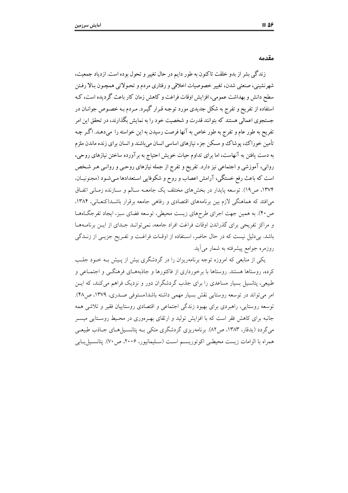مقدمه

زندگی بشر از بدو خلقت تاکنون به طور دایم در حال تغییر و تحول بوده است. ازدیاد جمعیت، شهرنشینی، صنعتی شدن، تغییر خصوصیات اخلاقی و رفتاری مردم و تحـولاتی همچـون بـالا رفـتن سطح دانش و بهداشت عمومی، افزایش اوقات فراغت و کاهش زمان کار باعث گر دیده است، کـه استفاده از تفریح و تفرج به شکل جدیدی مورد توجه قـرار گیـرد. مـردم بـه خصـوص جوانـان در جستجوی اعمالی هستند که بتوانند قدرت و شخصیت خود را به نمایش بگذارند، در تحقق این امر تفریح به طور عام و تفرج به طور خاص به آنها فرصت رسیدن به این خواسته را میدهـد. اگـر چـه تأمین خوراک، پوشاک و مسکن جزء نیازهای اساسی انسان میباشند و انسان برای زنده ماندن ملزم به دست یافتن به آنهاست، اما برای تداوم حیات خویش احتیاج به برآورده ساختن نیازهای روحی، روانی، آموزشی و اجتماعی نیز دارد. تفریح و تفرج از جمله نیازهای روحیی و روانـی هـر شـخص است که باعث رفع خستگی، آرامش اعصاب و روح و شکوفایی استعدادها می شـود (مجنونیــان، ۱۳۷۴، ص۱۹). توسعه پایدار در بخشهای مختلف یک جامعـه سـالم و سـازنده زمـانی اتفـاق می افتد که هماهنگی لازم بین برنامههای اقتصادی و رفاهی جامعه برقرار باشـد(کنعـانی، ۱۳۸۴، ص۴۰). به همین جهت اجرای طرحهای زیست محیطی، توسعه فضای سبز، ایجاد تفرجگاههـا و مراکز تفریحی برای گذراندن اوقات فراغت افراد جامعه، نمی توانـد جـدای از ایــن برنامــههـا باشد. بی دلیل نیست که در حال حاضر، استفاده از اوقـات فراغـت و تفـریح جزیـی از زنــدگی روزمره جوامع پیشرفته به شمار می آید.

یکی از منابعی که امروزه توجه برنامهریزان را در گردشگری بیش از پیش بـه خـود جلـب کرده، روستاها هستند. روستاها با برخورداری از فاکتورها و جاذبههـای فرهنگــی و اجتمــاعـی و طبیعی، پتانسیل بسیار مساعدی را برای جذب گردشگران دور و نزدیک فراهم می کنند، که ایــن امر می تواند در توسعه روستایی نقش بسیار مهمی داشته باشد(مستوفی صـدری، ۱۳۷۹، ص۴۸). توسعه روستایی، راهبردی برای بهبود زندگی اجتماعی و اقتصادی روستاییان فقیر و تلاشی همه جانبه برای کاهش فقر است که با افزایش تولید و ارتقای بهـرهوری در محـیط روسـتایی میسـر می گردد (پدقار، ۱۳۸۳، ص۸۲). برنامهریزی گردشگری متکی بـه پتانسـیل هـای جـاذب طبیعـی همراه با الزامات زيست محيطي اكوتوريسم است (سـليمانپور، ٢٠٠۶، ص٧٠). پتانسـيليـابي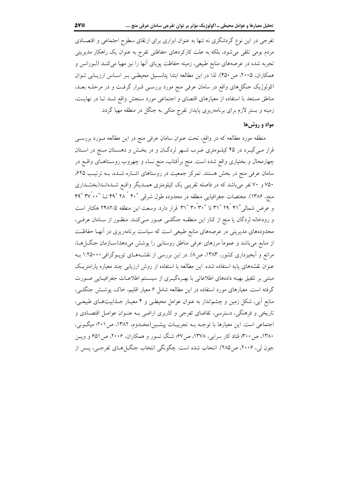تفرجی در این نوع گردشگری نه تنها به عنوان ابزاری برای ارتقای سطوح اجتماعی و اقتصـادی مردم بومی تلقی میشود، بلکه به علت کارکردهای حفاظتی تفرج به عنوان یک راهکار مدیریتی تجربه شده در عرصههای منابع طبیعی، زمینه حفاظت پویای آنها را نیز مهیا میکنـد (لـورانس و همکاران، ۲۰۰۵، ص۴۵۰). لذا در این مطالعه ابتدا پتانسیل محیطی بـر اسـاس ارزیـابی تـوان اکولوژیک جنگل های واقع در سامان عرفی منج مورد بررسـی قـرار گرفـت و در مرحلـه بعـد، مناطق مستعد با استفاده از معیارهای اقتصای و اجتماعی مورد سنجش واقع شـد تـا در نهایـت، زمینه و بستر لازم برای برنامهریزی پایدار تفرج متکی به جنگل در منطقه مهیا گردد.

### مواد و روش ها

منطقه مورد مطالعه که در واقع، تحت عنوان سامان عرفی منج در این مطالعه مـورد بررسـی قرار مـیگیـرد در ۴۵ کیلـومتری غـرب شـهر لردگـان و در بخـش و دهسـتان مـنج در اسـتان چهارمحال و بختیاری واقع شده است. منج برأفتاب، منج نساء و چهروب روسـتاهـای واقــع در سامان عرفی منج در بخش هستند. تمرکز جمعیت در روستاهای اشـاره شـده، بـه ترتیب ۶۲۵، ۷۵۰ و ۷۰ نفر میباشد که در فاصله تقریبی یک کیلومتری همـدیگر واقـع شـدهانـد(بخشـداری منج، ۱۳۸۶). مختصات جغرافیایی منطقه در محدوده طول شرقی ″۴۰ ٔ ۲۸ ْ ۴۹ تــا ″۳۷ ْ ۴۹ ْ ۴۹ و عرض شمالی "۲۱ ْ ۲۹ ْ ۳۱ تا "۳۰ ْ۳۰ ْ ۳۱ قرار دارد. وسعت این منطقه ۲۴۸۲/۵ هکتار است و رودخانه لردگان یا منج از کنار این منطقــه جنگلــی عبــور مــیکنــد. منظــور از ســامان عرفــی، محدودههای مدیریتی در عرصههای منابع طبیعی است که سیاست برنامهریزی در آنهـا حفاظـت از منابع میباشد و عموماً مرزهای عرفی مناطق روستایی را پوشش میدهد(ســازمان جنگــل۱هــا، مراتع و آبخیزداری کشور، ۱۳۸۳، ص۸). در این بررسی از نقشـههـای توپـوگرافی ۱:۲۵۰۰۰ بـه عنوان نقشههای پایه استفاده شده. این مطالعه با استفاده از روش ارزیابی چند معیاره پارامتریک مبتنی بر تلفیق بهینه دادههای اطلاعاتی با بهـرهگیـری از سیسـتم اطلاعـات جغرافیـایی صـورت گرفته است. معیارهای مورد استفاده در این مطالعه شامل ۶ معیار اقلیم، خاک، پوشش جنگلـی، منابع آبی، شکل زمین و چشمانداز به عنوان عوامل محیطی و ۴ معیـار جــذابیتهـای طبیعــی، تاریخی و فرهنگی، دسترسی، تقاضای تفرجی و کاربری اراضی بـه عنـوان عوامـل اقتصـادی و اجتماعی است. این معیارها با توجـه بـه تجربیـات پیشـین(مخـدوم، ۱۳۸۲، ص۲۰۱؛ میگـونی، ۱۳۸۰، ص ۳۰۰؛ قناد کار سرابی، ۱۳۷۸، ص۶۷؛ شنگ تسور و همکاران، ۲۰۰۶، ص ۶۵۱ و ویس جون لی، ۲۰۰۶، ص۲۸۵). انتخاب شده است. چگونگی انتخاب جنگ( هـای تفرجـی، پــس از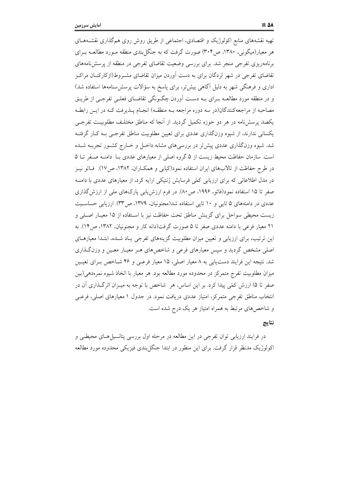تهیه نقشههای منابع اکولوژیک و اقتصادی، اجتماعی از طریق روش روی همگذاری نقشـههـای هر معیار(میگونی، ۱۳۸۰، ص۳۰۴) صورت گرفت که به جنگل بندی منطقه مـورد مطالعــه بـرای برنامهریزی تفرجی منجر شد. برای بررسی وضعیت تقاضای تفرجی در منطقه از پرسش نامههای تقاضای تفرجی در شهر لردگان برای به دست آوردن میزان تقاضای مشــروط(ازکارکنــان مراکــز اداری و فرهنگی شهر به دلیل آگاهی بیشتر، برای پاسخ به سؤالات پرسش سنامهها استفاده شد) و در منطقه مورد مطالعــه بــرای بــه دســت آوردن چگــونگـی تقاضــای فعلــی تفرجــی از طریــق مصاحبه از مراجعهکنندگان(در سه دوره مراجعه بـه منطقـه) انجـام پــذیرفت کـه در ایــن رابطـه یکصد پرسشنامه در هر دو حوزه تکمیل گردید. از آنجا که مناطق مختلـف مطلوبیـت تفرجـی یکسانی ندارند، از شیوه وزنگذاری عددی برای تعیین مطلوبیت مناطق تفرجی بـه کـار گرفتـه شد. شیوه وزنگذاری عددی پیش تر در بررسیهای مشابه داخـل و خـارج کشـور تجربــه شــده است. سازمان حفاظت محیط زیست از ۵ گروه اصلی از معیارهای عددی بـا دامنـه صـفر تـا ۵ در طرح حفاظت از تالابهای ایران استفاده نمود(کیابی و همکـاران، ۱۳۸۲، ص۱۷). فـائو نیــز در مدل اطلاعاتی که برای ارزیابی کمّی فرسایش ژنتیکی ارایه کرد، از معیارهای عددی با دامنـه صفر تا ۱۵ استفاده نمود(فائو، ۱۹۹۶، ص ۸۰). در فرم ارزش یابی پارکهای ملی از ارزش گذاری عددی در دامنههای ۵ تایی و ۱۰ تایی استفاده شد(مجنونیان، ۱۳۷۹، ص۳۳). ارزیابی حساسیت زیست محیطی سواحل برای گزینش مناطق تحت حفاظت نیز با استفاده از ۱۵ معیـار اصـلی و ۲۱ معیار فرعی با دامنه عددی صفر تا ۵ صورت گرفت(دانه کار و مجنونیان، ۱۳۸۲، ص۱۴). به این ترتیب، برای ارزیابی و تعیین میزان مطلوبیت گزینههای تفرجی یـاد شـده، ابتـدا معیارهـای اصلی مشخص گردید و سپس معیارهای فرعی و شاخصهای هـر معیـار معـین و وزنگـذاری شد. نتیجه این فرایند دست یابی به ۸ معیار اصلی، ۱۵ معیار فرعـی و ۴۶ شـاخص بـرای تعیـین میزان مطلوبیت تفرج متمرکز در محدوده مورد مطالعه بود. هر معیار با اتخاذ شیوه نمرهدهی(بین صفر تا ۵) ارزش کمّی پیدا کرد. بر این اساس، هر ِ شاخص با توجه به میـزان اثرگـذاری آن در انتخاب مناطق تفرجی متمرکز، امتیاز عددی دریافت نمود. در جدول ۱ معیارهای اصلی، فرعــی و شاخصهای مرتبط به همراه امتیاز هر یک درج شده است.

#### نتايج

در فرایند ارزیابی توان تفرجی در این مطالعه در مرحله اول بررسی پتانسپل هـای محیطـی و اکولوژیک مدنظر قرار گرفت. برای این منظور در ابتدا جنگل بندی فیزیکی محدوده مورد مطالعه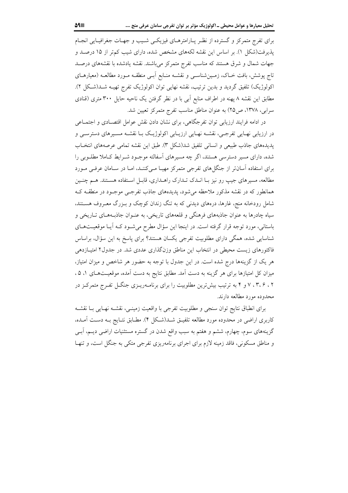برای تفرج متمرکز و گسترده از نظـر پـارامترهـای فیزیکـی شـیب و جهـات جغرافیـایی انجـام یذیرفت(شکل ۱). بر اساس این نقشه لکههای مشخص شده، دارای شیب کمتر از ۱۵ درصـد و جهات شمال و شرق هستند که مناسب تفرج متمرکز می باشند. نقشه یادشده با نقشههای درصـد تاج پوشش، بافت خـاک، زمـینشناسـی و نقشـه منـابع اَبـی منطقـه مـورد مطالعـه (معیارهـای اکولوژیک) تلفیق گردید و بدین ترتیب، نقشه نهایی توان اکولوژیک تفرج تهیـه شـد(شـکل ۲). مطابق این نقشه ۸ پهنه در اطراف منابع آبی با در نظر گرفتن یک ناحیه حایل ۳۰۰ متری (قنادی سرابی، ۱۳۷۸، ص۲۵) به عنوان مناطق مناسب تفرج متمرکز تعیین شد.

در ادامه فرایند ارزیابی توان تفرجگاهی، برای نشان دادن نقش عوامل اقتصـادی و اجتمـاعی در ارزیابی نهـایی تفرجـی، نقشـه نهـایی ارزیـابی اکولوژیـک بـا نقشـه مسـیرهای دسترسـی و بديدههاي جاذب طبيعي و انساني تلفيق شد(شكل ٣). طبق اين نقشه تمامي عرصههاي انتخـاب شده، دارای مسیر دسترسی هستند، اگر چه مسیرهای آسفالته موجـود شـرایط کـاملا مطلـوبی را برای استفاده آسان تر از جنگل های تفرجی متمرکز مهیا میکنند، اما در سامان عرفی مورد مطالعه، مسیرهای جیب رو نیز بـا انــدک تــدارک راهــداری، قابــل اســتفاده هســتند. هــم چنــین همانطور که در نقشه مذکور ملاحظه می شود، پدیدههای جاذب تفرجـی موجـود در منطقــه کــه شامل رودخانه منج، غارها، درههای دیدنی که به تنگ زندان کوچک و بـزرگ معـروف هســتند، سیاه چادرها به عنوان جاذبههای فرهنگی و قلعههای تاریخی، به عنـوان جاذبـههـای تـاریخی و باستانی، مورد توجه قرار گرفته است. در اینجا این سؤال مطرح می شـود کـه آیـا موقعیـتهـای شناسایی شده، همگی دارای مطلوبیت تفرجی یکسان هستند؟ برای پاسخ به این سؤال، براساس فاکتورهای زیست محیطی در انتخاب این مناطق وزنگذاری عددی شد. در جدول۲ امتیـازدهی هر یک از گزینهها درج شده است. در این جدول با توجه به حضور هر شاخص و میزان امتیاز، میزان کل امتیازها برای هر گزینه به دست آمد. مطابق نتایج به دست آمده، موقعیـتهـای ۱، ۵، ۰۲ ، ۲، ۶ ، ۷ و ۴ به ترتیب بیش ترین مطلوبیت را برای برنامه ریـزی جنگـل تفـرج متمرکـز در محدوده مورد مطالعه دارند.

براي انطباق نتايج توان سنجي و مطلوبيت تفرجي با واقعيت زمينـي، نقشـه نهـايي بـا نقشـه کاربری اراضی در محدوده مورد مطالعه تلفیـق شــد(شـكل ۴). مطـابق نتـایج بـه دسـت آمــده، گزینههای سوم، چهارم، ششم و هفتم به سبب واقع شدن در گستره مستثنیات اراضی دیــم، آبــی و مناطق مسکونی، فاقد زمینه لازم برای اجرای برنامهریزی تفرجی متکی به جنگل است، و تنهـا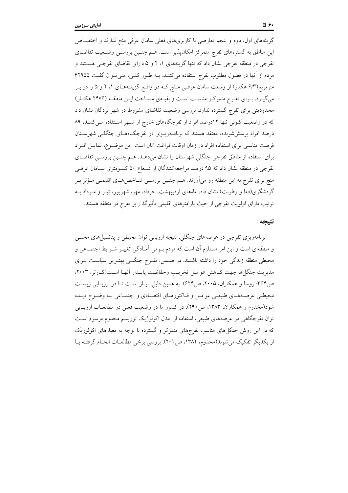گزینههای اول، دوم و پنجم تعارضی با کاربریهای فعلی سامان عرفی منج ندارند و اختصـاص این مناطق به گسترههای تفرج متمرکز امکانپذیر است. هـم چنـین بررسـی وضـعیت تقاضـای تفرجی در منطقه تفرجی نشان داد که تنها گزینههای ۱، ۲ و ۵ دارای تقاضای تفرجـی هســتند و مردم از آنها در فصول مطلوب تفرج استفاده می کننـد. بـه طـور کلـی، مـیتوان گفـت ۶۲۹۵۵ مترمربع(۶/۳ هکتار) از وسعت سامان عرفـی مـنج کـه در واقـع گزینـههـای ۱، ۲ و ۵ را در بـر میگیرد، بـرای تفـرج متمرکـز مناسـب اسـت و بقیـهی مسـاحت ایـن منطقـه (۲۴۷۶ هکتـار) محدودیتی برای تفرج گسترده ندارد. بررسی وضعیت تقاضای مشروط در شهر لردگان نشان داد که در وضعیت کنونی تنها ١٢درصد افراد از تفرجگاههای خارج از شـهر استفاده مـیکننـد، ٨٩ درصد افراد پرسششرونده، معتقد هستند که برنامـهریـزی در تفرجگـاههـای جنگلــی شهرســتان فرصت مناسبی برای استفاده افراد در زمان اوقات فراغت آنان است. این موضوع، تمایـل افـراد برای استفاده از مناطق تفرجی جنگلی شهرستان را نشان میدهـد. هـم چنـین بررسـی تقاضـای تفرجی در منطقه نشان داد که ۹۵ درصد مراجعهکنندگان از شـعاع ۵۰ کیلــومتری ســامان عرفــی منج برای تفرج به این منطقه رو میآورند. هــم چنــین بررســی شــاخص۵هــای اقلیمــی مــؤثر بــر گردشگری(دما و رطوبت) نشان داد، ماههای اردیبهشت، خرداد، مهر، شهریور، تیــر و مــرداد بــه ترتیب دارای اولویت تفرجی از حیث پارامترهای اقلیمی تأثیر گذار بر تفرج در منطقه هستند.

#### نتىحە

برنامهریزی تفرجی در عرصههای جنگلی، نتیجه ارزیابی توان محیطی و پتانسیل های محلــی و منطقهای است و این امر مستلزم آن است که مردم بـومی آمـادگی تغییـر شـرایط اجتمـاعی و محیطی منطقه زندگی خود را داشته باشـند. در ضـمن، تفـرج جنگلـی بهتـرین سیاسـت بـرای مديريت جنگلها جهت كـاهش عوامـل تخريـب وحفاظـت پايـدار آنهـا اسـت(كـارتر، ٢٠٠٣، ص۴۶۴؛ روسا و همکاران، ۲۰۰۵، ص۶۲۴). به همین دلیل، نیـاز اسـت تـا در ارزیـابی زیسـت محیطـی عرصـههـای طبیعـی عوامـل و فـاکتورهـای اقتصـادی و اجتمـاعی بـه وضـوح دیـده شود(مخدوم و همکاران، ۱۳۸۳، ص ۲۹۰). در کشور ما در وضعیت فعلی در مطالعـات ارزیـابی توان تفرجگاهی در عرصههای طبیعی، استفاده از ً مدل اکولوژیک توریسم مخدوم مرسوم اسـت که در این روش جنگل های مناسب تفرجهای متمرکز و گسترده با توجه به معیارهای اکولوژیک از یکدیگر تفکیک می شوند(مخدوم، ۱۳۸۲، ص۲۰۱). بررسی برخی مطالعـات انجـام گرفتــه بــا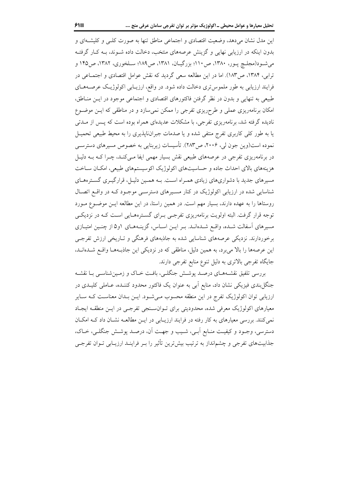بدون اینکه در ارزیابی نهایی و گزینش عرصههای منتخب، دخالت داده شـوند، بـه کـار گرفتـه می شـود(مجلـچ یـور، ۱۳۸۰، ص۱۱۰؛ بزرگیـان، ۱۳۸۱، ص۱۸۹؛ سـلخوری، ۱۳۸۲، ص۱۴۵ و ترابی، ۱۳۸۴، ص۱۸۳). اما در این مطالعه سعی گردید که نقش عوامل اقتصادی و اجتمـاعی در فرایند ارزیابی به طور ملموس تری دخالت داده شود. در واقع، ارزیـابی اکولوژیـک عرصـههـای طبیعی به تنهایی و بدون در نظر گرفتن فاکتورهای اقتصادی و اجتماعی موجود در ایـن منـاطق، امکان برنامهریزی عملی و طرحریزی تفرجی را ممکن نمیسازد و در مناطقی که ایـن موضـوع نادیده گرفته شد، برنامهریزی تفرجی، با مشکلات عدیدهای همراه بوده است که پــس از مــدتی یا به طور کلی کاربری تفرج منتفی شده و یا صدمات جبران $i$ پذیری را به محیط طبیعی تحمیـل نموده است(وین جون لی، ۲۰۰۶، ص۲۸۳). تأسیسات زیربنایی به خصوص مسیرهای دسترسـی در برنامهریزی تفرجی در عرصههای طبیعی نقش بسیار مهمی ایفا مـیکنـد، چـرا کـه بـه دلیـل هزینههای بالای احداث جاده و حساسیتهای اکولوژیک اکوسیستمهای طبیعی، امکان ساخت مسیرهای جدید با دشواریهای زیادی همـراه اسـت. بـه همـین دلیـل، قرارگیـری گسـترههـای شناسایی شده در ارزیابی اکولوژیک در کنار مسیرهای دسترسبی موجبود ک در واقع اتصال روستاها را به عهده دارند، بسیار مهم است. در همین راستا، در این مطالعه ایــن موضــوع مــورد توجه قرار گرفت. البته اولویت برنامهریزی تفرجـی بـرای گســترههـایی اســت کــه در نزدیکــی مسیرهای آسفالت شـده، واقـع شـدهانـد. بـر ایــن اسـاس، گزینــههــای ۱و۵ از چنــین امتیــازی برخوردارند. نزدیکی عرصههای شناسایی شده به جاذبههای فرهنگی و تـاریخی ارزش تفرجـی این عرصهها را بالا میبرد، به همین دلیل، مناطقی که در نزدیکی این جاذبـههـا واقـع شــدهانــد، جایگاه تفرجی بالاتری به دلیل تنوع منابع تفرجی دارند.

بررسی تلفیق نقشـههـای درصـد پوشـش جنگلـی، بافـت خـاک و زمـینشناسـی بـا نقشـه جنگل بندی فیزیکی نشان داد، منابع اَبی به عنوان یک فاکتور محدود کننـده، عـاملی کلیـدی در ارزیابی توان اکولوژیک تفرج در این منطقه محسوب مـیشـود. ایــن بــدان معناســت کــه ســایر معیارهای اکولوژیک معرفی شده، محدودیتی برای تـوانسـنجی تفرجـی در ایـن منطقـه ایجـاد نمی کنند. بررسی معیارهای به کار رفته در فرایند ارزیـابی در ایـن مطالعــه نشــان داد کــه امکــان دسترسی، وجـود و کیفیـت منـابع اَبـی، شـیب و جهـت اَن، درصـد پوشـش جنگلـی، خـاک، جذابیتهای تفرجی و چشمانداز به ترتیب بیشترین تأثیر را بـر فراینـد ارزیـابی تـوان تفرجـی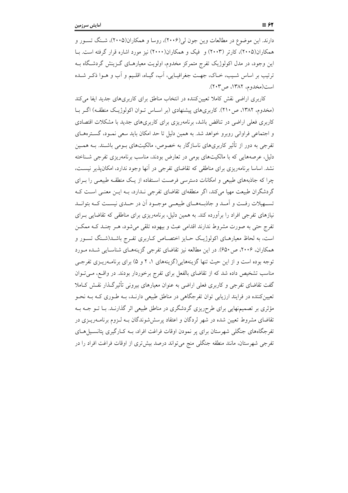دارند. این موضوع در مطالعات وین جون لی(۲۰۰۶)، روسا و همکاران(۲۰۰۵)، شـنگ تسـور و همکاران(۲۰۰۵)، کارتر (۲۰۰۳) و فیک و همکاران(۲۰۰۰) نیز مورد اشاره قرار گرفته است. بـا این وجود، در مدل اکولوژیک تفرج متمرکز مخدوم، اولویت معیارهـای گـزینش گردشـگاه بــه ترتيب بر اساس شـيب، خــاک، جهــت جغرافيــايي، اَب، گيــاه، اقلـيـم و اَب و هــوا ذکــر شــده است(مخدوم، ١٣٨٢، ص٣٠٣).

کاربری اراضی نقش کاملا تعیینکننده در انتخاب مناطق برای کاربریهای جدید ایفا میکند (مخدوم، ۱۳۸۲، ص ۲۱۰). کاربریهای پیشنهادی (بر اسـاس تـوان اکولوژیـک منطقـه) اگـر بـا کاربری فعلی اراضی در تناقض باشد، برنامهریزی برای کاربریهای جدید با مشکلات اقتصادی و اجتماعی فراوانی روبرو خواهد شد. به همین دلیل تا حد امکان باید سعی نمـود، گسـترههـای تفرجی به دور از تأثیر کاربریهای ناسازگار به خصوص، مالکیتهای بــومی باشــند. بــه همــین دلیل، عرصههایی که با مالکیتهای بومی در تعارض بودند، مناسب برنامهریزی تفرجی شـناخته نشد. اساسا برنامهریزی برای مناطقی که تقاضای تفرجی در آنها وجود ندارد، امکانپذیر نیسـت، چرا که جاذبههای طبیعی و امکانات دسترسی فرصت استفاده از یک منطقـه طبیعـی را بـرای گردشگران طبیعت مهیا می کند، اگر منطقهای تقاضای تفرجی نـدارد، بـه ایــن معنــی اســت کــه تسهیلات رفـت و اَمــد و جاذبــههــای طبیعــی موجــود اَن در حــدی نیســت کــه بتوانــد نیازهای تفرجی افراد را برآورده کند. به همین دلیل، برنامهریزی برای مناطقی که تقاضایی بـرای تفرج حتی به صورت مشروط ندارند اقدامی عبث و بیهوده تلقی می شود، هـر چنـد کـه ممکـن است، به لحاظ معیارهـای اکولوژیـک حـایز اختصـاص کـاربری تفـرج باشـد(شـنگ تسـور و همکاران، ۲۰۰۶، ص ۶۵۰). در این مطالعه نیز تقاضای تفرجی گزینههـای شناسـایی شـده مـورد توجه بوده است و از این حیث تنها گزینههایی(گزینههای ۱، ۲ و ۵) برای برنامــهریــزی تفرجــی مناسب تشخیص داده شد که از تقاضای بالفعل برای تفرج برخوردار بودند. در واقع، مـیتوان گفت تقاضای تفرجی و کاربری فعلی اراضی به عنوان معیارهای بیرونی تأثیرگـذار نقـش کـاملا تعیینکننده در فرایند ارزیابی توان تفرجگاهی در مناطق طبیعی دارنـد، بـه طـوری کـه بـه نحـو مؤثری بر تصمیمنهایی برای طرحریزی گردشگری در مناطق طبیعی اثر گذارنـد. بــا تــو جــه بــه تقاضای مشروط تعیین شده در شهر لردگان و اعتقاد پرسششوندگان بـه لـزوم برنامــهریــزی در تفرجگاههای جنگلی شهرستان برای پر نمودن اوقات فراغت افراد، بــه کـارگیری پتانســیلهــای تفرجی شهرستان، مانند منطقه جنگلی منج میتواند درصد بیشتری از اوقات فراغت افراد را در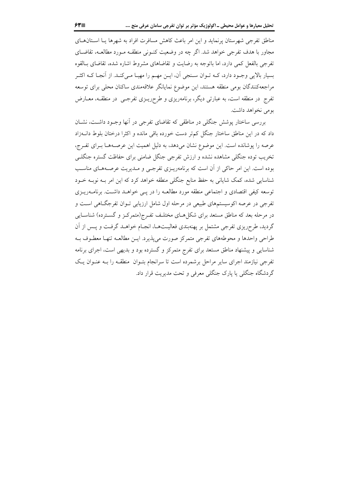مناطق تفرجی شهرستان پرنماید و این امر باعث کاهش مسافرت افراد به شهرها یـا اسـتانهـای مجاور با هدف تفرجی خواهد شد. اگر چه در وضعیت کنـونی منطقــه مـورد مطالعــه، تقاضــای تفرجی بالفعل کمی دارد، اما باتوجه به رضایت و تقاضاهای مشروط اشاره شده، تقاضای بــالقوه بسیار بالایی وجـود دارد، کـه تـوان سـنجي آن، ايـن مهـم را مهيـا مـيکنـد. از آنجـا کـه اکثـر مراجعه کنندگان بومی منطقه هستند، این موضوع نمایانگر علاقهمندی ساکنان محلی برای توسعه تفرج در منطقه است، به عبارتی دیگر، برنامهریزی و طرحریــزی تفرجــی در منطقــه، معــارض بومي نخواهد داشت.

بررسی ساختار پوشش جنگلی در مناطقی که تقاضای تفرجی در أنها وجـود داشـت، نشـان داد که در این مناطق ساختار جنگل کم تر دست خورده باقی مانده و اکثرا درختان بلوط دانــهزاد عرصه را پوشانده است. این موضوع نشان میدهد، به دلیل اهمیت این عرصـههـا بـرای تفـرج، تخریب توده جنگلی مشاهده نشده و ارزش تفرجی جنگل ضامنی برای حفاظت گستره جنگلــی بوده است. این امر حاکی از آن است که برنامهریـزی تفرجـی و مـدیریت عرصـههـای مناسـب شناسایی شده، کمک شایانی به حفظ منابع جنگلی منطقه خواهد کرد که این امر بــه نوبــه خــود توسعه کیفی اقتصادی و اجتماعی منطقه مورد مطالعـه را در یـبی خواهـد داشـت. برنامــهریــزی تفرجي در عرصه اکوسيستمهاي طبيعي در مرحله اول شامل ارزيابي تـوان تفرجگــاهي اسـت و در مرحله بعد که مناطق مستعد برای شکل هـای مختلـف تفـرج(متمرکـز و گسـترده) شناسـایی گردید، طرحریزی تفرجی مشتمل بر پهنهبندی فعالیـتهـا، انجـام خواهـد گرفـت و پـس از آن طراحي واحدها و محوطههاي تفرجي متمركز صورت مي پذيرد. ايــن مطالعــه تنهـا معطــوف بــه شناسایی و پیشنهاد مناطق مستعد برای تفرج متمرکز و گسترده بود و بدیهی است، اجرای برنامه تفرجی نیازمند اجرای سایر مراحل برشمرده است تا سرانجام بتـوان ً منطقـه را بـه عنـوان یـک گردشگاه جنگلی یا پارک جنگلی معرفی و تحت مدیریت قرار داد.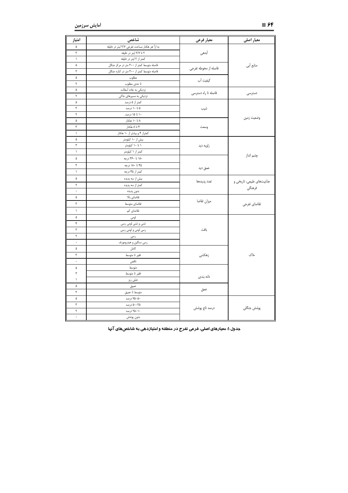| امتياز               | شاخص                                          | معيار فرعى           | معیار اصلی                |  |  |
|----------------------|-----------------------------------------------|----------------------|---------------------------|--|--|
| ۵                    | به ازأ هر هكتار مساحت تفرجي ٢/٧ ليتر در دقيقه |                      |                           |  |  |
| ٣                    | ۲ تا ۲/۷ لیتر در دقیقه                        | أبدهى                |                           |  |  |
| $\lambda$            | کمتر از ۲ لیتر در دقیقه                       |                      |                           |  |  |
| ۵                    | فاصله متوسط کمتر از ۳۰۰ متر در مرکز جنگل      | فاصله از محوطه تفرجي | منابع أبي                 |  |  |
| $\mathbf r$          | فاصله متوسط كمتر از ٣٠٠ متر در كناره جنگل     |                      |                           |  |  |
| ۵                    | مطلوب                                         | كيفيت آب             |                           |  |  |
| ٢                    | تا حدی مطلوب                                  |                      |                           |  |  |
| ۵                    | نزدیکی به جاده أسفالت                         | فاصله تا راه دسترسی  | دسترسى                    |  |  |
| ٢                    | نزدیکی به مسیرهای خاکی                        |                      |                           |  |  |
| ۵                    | کمتر از ۵ درصد                                |                      | وضعيت زمين                |  |  |
| ٣                    | ۵ تا ۱۰ درصد                                  | شيب                  |                           |  |  |
| ٢                    | ۱۰ تا ۱۵ درصد.                                |                      |                           |  |  |
| ۵                    | ۸ تا ۱۰ هکتار                                 |                      |                           |  |  |
| $\mathbf{\breve{r}}$ | ۴ تا ۸ هکتار                                  | وسعت                 |                           |  |  |
| $\lambda$            | کمتراز ۴ و بیشتر از ۱۰ هکتار                  |                      |                           |  |  |
| ۵                    | بیش از ۱۰ کیلومتر                             |                      |                           |  |  |
| ٣                    | ۱ تا ۱۰ کیلومتر                               | زاويه ديد            |                           |  |  |
| $\backslash$         | کمتر از ۱ کیلومتر                             |                      | چشم انداز                 |  |  |
| ۵                    | ۱۸۰ تا ۳۶۰ درجه                               |                      |                           |  |  |
| ٣                    | ۴۵ تا ۱۸۰ درجه                                | عمق ديد              |                           |  |  |
| $\lambda$            | کمتر از ۴۵ درجه                               |                      |                           |  |  |
| ۵                    | بیش از سه پدیده                               | تعدد پدیدهها         | جذابیتهای طبیعی، تاریخی و |  |  |
| ٢                    | کمتر از سه پدیده                              |                      |                           |  |  |
| $\cdot$              | بدون پديده                                    |                      | فرهنگی                    |  |  |
| ۵                    | تقاضاي بالا                                   |                      |                           |  |  |
| ٣                    | تقاضاي متوسط                                  | ميزان تقاضا          |                           |  |  |
| $\lambda$            | تقاضای کم                                     |                      | تقاضاي تفرجي              |  |  |
| ۵                    | لومى                                          |                      |                           |  |  |
| ۴                    | شنی و شنی لومی رسی                            |                      |                           |  |  |
| ٣                    | رسی <mark>لومی و لومی رسی</mark>              | بافت                 |                           |  |  |
| ٢                    | رسى                                           |                      |                           |  |  |
| $\cdot$              | رسی سنگین و هیدرومورف                         |                      |                           |  |  |
| ۵                    | كامل                                          |                      |                           |  |  |
| ٣                    | فقير تا متوسط                                 | زهکشی                | خاک                       |  |  |
| $\cdot$              | ناقص                                          |                      |                           |  |  |
| ۵                    | متوسط                                         |                      |                           |  |  |
| ٣                    | فقير تا متوسط                                 |                      |                           |  |  |
| $\lambda$            | خیلی ریز                                      | دانه بندی            |                           |  |  |
| ۵                    | عميق                                          |                      |                           |  |  |
| ٣                    | متوسط تا عميق                                 | عمق                  |                           |  |  |
| ۵                    | ۵۰–۷۵ درصد                                    |                      |                           |  |  |
| $\mathbf{\breve{r}}$ | ۵۰–۵۰ درصد                                    |                      |                           |  |  |
| ٢                    | ۲۵–۲۵ درصد                                    | درصد تاج پوشش        | پوشش جنگلی                |  |  |
| $\cdot$              | بدون پوشش                                     |                      |                           |  |  |

جدول ۱: معیارهای اصلی، فرعی تفرج در منطقه و امتیازدهی به شاخصهای آنها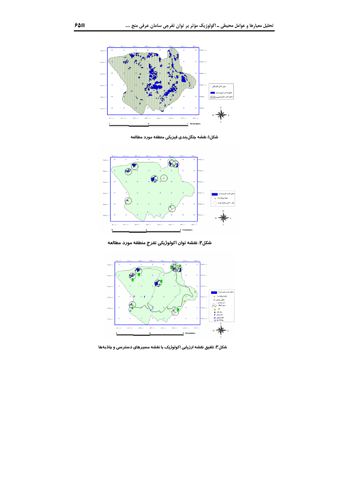

شکل۱: نقشه جنگلبندی فیزیکی منطقه مورد مطالعه



شکل۲: نقشه توان اکولوژیکی تفرج منطقه مورد مطالعه



شکل۳: تلفیق نقشه ارزیابی اکولوژیک با نقشه مسیرهای دسترسی و جاذبهها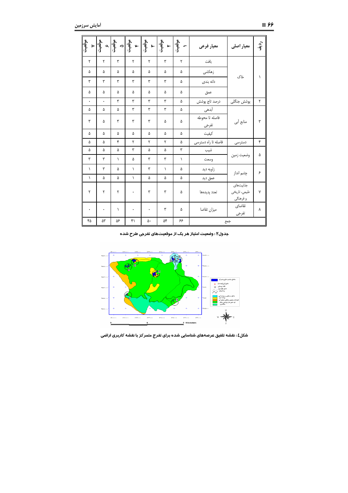| موقعيت               |                      |           | $\begin{picture}(130,10) \put(0,0){\line(1,0){15}} \put(15,0){\line(1,0){15}} \put(15,0){\line(1,0){15}} \put(15,0){\line(1,0){15}} \put(15,0){\line(1,0){15}} \put(15,0){\line(1,0){15}} \put(15,0){\line(1,0){15}} \put(15,0){\line(1,0){15}} \put(15,0){\line(1,0){15}} \put(15,0){\line(1,0){15}} \put(15,0){\line(1,0){15}} \put(15,0){\line($ |    |           |    | معيار فرعى              | معیار اصلی                             | رون<br>آف |
|----------------------|----------------------|-----------|-----------------------------------------------------------------------------------------------------------------------------------------------------------------------------------------------------------------------------------------------------------------------------------------------------------------------------------------------------|----|-----------|----|-------------------------|----------------------------------------|-----------|
| ٢                    | ۲                    | ٣         | ٢                                                                                                                                                                                                                                                                                                                                                   | ٢  | ٣         | ٢  | بافت                    |                                        |           |
| ۵                    | ۵                    | ۵         | ۵                                                                                                                                                                                                                                                                                                                                                   | ۵  | ۵         | ۵  | زهكشى                   | خاک                                    |           |
| ٣                    | ٣                    | ٣         | ٣                                                                                                                                                                                                                                                                                                                                                   | ٣  | ٣         | ۵  | دانه بندی               |                                        |           |
| ۵                    | ۵                    | ۵         | ۵                                                                                                                                                                                                                                                                                                                                                   | ۵  | ۵         | ۵  | عمق                     |                                        |           |
| $\ddot{\phantom{0}}$ | $\ddot{\phantom{0}}$ | ٣         | ۳                                                                                                                                                                                                                                                                                                                                                   | ٣  | ٣         | ۵  | درصد تاج پوشش           | پوشش جنگلی                             | ٢         |
| ۵                    | ۵                    | ۵         | ٣                                                                                                                                                                                                                                                                                                                                                   | ٣  | ٣         | ۵  | آبدهى                   |                                        |           |
| ٣                    | ۵                    | ٣         | ٣                                                                                                                                                                                                                                                                                                                                                   | ٣  | ۵         | ۵  | فاصله تا محوطه<br>تفرجى | منابع أبي                              | ٣         |
| ۵                    | ۵                    | ۵         | ۵                                                                                                                                                                                                                                                                                                                                                   | ۵  | ۵         | ۵  | كيفيت                   |                                        |           |
| ۵                    | ۵                    | ۴         | ۲                                                                                                                                                                                                                                                                                                                                                   | ۲  | ٢         | ۵  | فاصله تا راه دسترسی     | دسترسى                                 | ۴         |
| ۵                    | ۵                    | ۵         | ٣                                                                                                                                                                                                                                                                                                                                                   | ۵  | ۵         | ٣  | شيب                     |                                        |           |
| ٣                    | ٣                    | $\lambda$ | ۵                                                                                                                                                                                                                                                                                                                                                   | ٣  | ٣         | ١  | وسعت                    | وضعيت زمين                             | ۵         |
| $\lambda$            | ٣                    | ۵         | $\lambda$                                                                                                                                                                                                                                                                                                                                           | ٣  | $\lambda$ | ۵  | زاويه ديد               | چشم انداز                              | ۶         |
| $\lambda$            | ۵                    | ۵         | $\lambda$                                                                                                                                                                                                                                                                                                                                           | ۵  | ۵         | ۵  | عمق ديد                 |                                        |           |
| ۲                    | ٢                    | ٢         | $\ddot{\phantom{0}}$                                                                                                                                                                                                                                                                                                                                | ٣  | ٣         | ۵  | تعدد پدیدهها            | جذابيتهاى<br>طبیعی، تاریخی<br>و فرهنگي | Y         |
| ٠                    | $\bullet$            | $\lambda$ | ۰                                                                                                                                                                                                                                                                                                                                                   | ۰  | ٣         | ۵  | ميزان تقاضا             | تقاضاي<br>تفرجي                        | ٨         |
| ۴۵                   | ۵٣                   | ۵۶        | ۴١                                                                                                                                                                                                                                                                                                                                                  | ۵٠ | ۵۴        | ۶۶ | جمع                     |                                        |           |

جدول۲ : وضعیت امتیاز هر یک از موقعیتهای تفرجی طرح شده



شکل٤ : نقشه تلفیق عرصههای شناسایی شده برای تفرج متمر کز با نقشه کاربری اراضی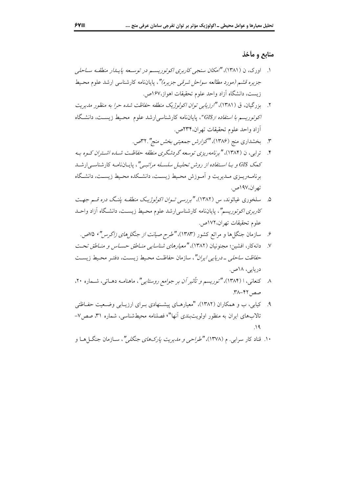#### منابع و مأخذ

- ۱. اورک، ن (۱۳۸۱)، "امکان سنجی کاربری اکوتوریسم در توسعه پایـاار منطقـه سـاحلی جزیره قشم *(مورد مطالعه سواحل شرقی جزیره)"*، پایاننامه کارشناس<sub>ی</sub> ارشد علوم محبط زيست، دانشگاه آزاد واحد علوم تحقيقات اهواز،١۶٧ص.
- ۲. بزرگیان، ق (۱۳۸۱)، "ارزیابی توان اکولوژیک منطقه حفاظت شده حرا به منظور مدیریت ا*کوتوریسم با استفاده ازGIS*"، پایاننامه کارشناس<sub>ی</sub>ارشد علوم محیط زیست، دانشگاه آزاد واحد علوم تحقيقات تهران،٢٣۴ص.
	- ۳. بخشداری منج (۱۳۸۶)، "گز*ارش جمعیتی بخش منج"*۳۲. می.
- ۴. \_ ترابی، ن (۱۳۸۴)، "برنامهوریزی توسعه گردشگری منطقه حفاظت شبه، اشتیران کسوه به کمک GIS و ب*ـا اسـتفاده از روش تحليـل سلسـله مراتبـي"*، پايـاننامـه کارشناسـي|رشـد برنامــهريــزي مــديريت و أمــوزش محـيط زيســت، دانشــكده محـيط زيســت، دانشــگاه تهران،۱۹۷ص.
- ۰. سلخوری غیاثوند، س (۱۳۸۲)، *"بررسی تـوان اکولوژیـک منطقـه یلنـگ دره قـم جهـت کاربری اکوتوریسم"*، پایاننامه کارشناسی ارشد علوم محیط زیست، دانشگاه آزاد واحـد علوم تحقيقات تهران،١٧٢ص.
	- ۶. سازمان جنگل ها و مراتع کشور (۱۳۸۳)، "طرح صی*انت از جنگل های زاگر س"*، ۷۵ص.
- ٧. دانه كار، افشين؛ مجنونيان (١٣٨٢)، "معي*ارهاي شناسايي منــاطق حســاس و منــاطق تحـ*ت ح*فاظت ساحلی ـ دریایی ایران"*، سازمان حفاظت محیط زیست، دفتـر محـیط زیسـت دريايي، ١٨ص.
- ۸ کنعانی، ا (۱۳۸۴)، *"توریسم و تأثیر آن بر جوامع روستایی"*، ماهنامـه دهــاتی، شــماره ۲۰، صص ۴۲–۳۸.
- ۹. کیابی، ب و همکاران (۱۳۸۲)، "معیارهـای پیشـنهادی بـرای ارزیـابی وضـعیت حفـاظتی تالابهای ایران به منظور اولویتبندی أنها"، فصلنامه محیطشناسی، شماره ۳۱، صص۷- $\wedge$  4
- ۱۰. قناد کار سراب<sub>ی</sub>. م (۱۳۷۸)، *"طراحی و مدیریت پارکهای جنگلی"*، سـازمان جنگـل۱مـا و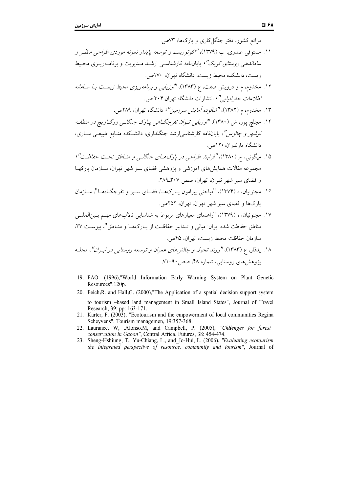مراتع کشور، دفتر جنگل کاری و پارکها، ۷۳ص. ۱۱. مستوفی صدری، ب (۱۳۷۹)، "اکوتوریسم و توسعه پایدار نمونه موردی طراحی منظـر و *ساماندهی روستای کریک"،* پایاننامه کارشناسبی ارشـد مـدیریت و برنامــهریـزی محـیط زيست، دانشكده محيط زيست، دانشگاه تهران، ١٧٠ص. ۱۲. مخدوم، م و درویش صفت، ع (۱۳۸۳)، *"ارزیابی و برنامهریزی محیط زیست بـا سـامانه* اطلاعات جغرافيايي"، انتشارات دانشگاه تهران.۳۰۴ ص. ۱۳. مخدوم، م (۱۳۸۲)، *"شالو ده آمایش سرزمین"*، دانشگاه تهران، ۲۸۹ص. ۱۴. مجلچ پور، ش (۱۳۸۰)، *"ارزیابی تـوان تفرجگــاهی پــارک جنگلــی ورگــاویج در منطقــه* نو*شهر و چالوس"*، پایاننامه کارشناسی ارشد جنگلداری، دانشکده منـابع طبیعـی سـاری، دانشگاه مازندران، ۱۲۰ص. ۱۵. میگونی، ح (۱۳۸۰)، "فرایند طراحی در پارک *های جنگل<sub>می</sub> و من*اطق تحت ح*فاظت"*، مجموعه مقالات همایش های اَموزشی و یژوهشی فضای سبز شهر تهران، ســازمان یارکهــا و فضای سبز شهر تهران، تهران، صص ۳۰۷\_۲۸۹. ۱۶. مجنونیان، ه (۱۳۷۴)، "مباحثی پیرامون پـارک۱هـا، فضـای سـبز و تفرجگـاهـا"، سـازمان يارک ها و فضاي سبز شهر تهران. تهران، ۲۵۲ص. ۱۷. محنونیان، ه (۱۳۷۹)، "راهنمای معبارهای مربوط به شناسایی تالابهای مهم بـینالمللـی مناطق حفاظت شده ایران: مبانی و تـدابیر حفاظـت از پـارکهـا و منـاطق"، پیوسـت ۳۷، سازمان حفاظت محبط زيست، تهران، ۴۵ص. ۱۸. پدقار، ع (۱۳۸۳)، "ر*وند تحول و چالش های عمران و توسعه روستایی در ایبران"*، مجلـه یژوهش های روستایی، شماره ۴۸، صص ۹۰–۷۱.

- 19. FAO. (1996),"World Information Early Warning System on Plant Genetic Resources".120p.
- 20. Feich R, and Hall G, (2000). The Application of a spatial decision support system to tourism -based land management in Small Island States", Journal of Travel Research, 39: pp: 163-171.
- 21. Karter, F. (2003), "Ecotourism and the empowerment of local communities Regina Scheyvens". Tourism managemen, 19:357-368.
- 22. Laurance, W. .Alonso.M., and Campbell, P. (2005), "Chilenges for forest conservation in Gabon", Central Africa. Futures, 38: 454-474.
- 23. Sheng-Hshiung, T., Yu-Chiang, L., and\_Jo-Hui, L. (2006), "Evaluating ecotourism the integrated perspective of resource, community and tourism", Journal of